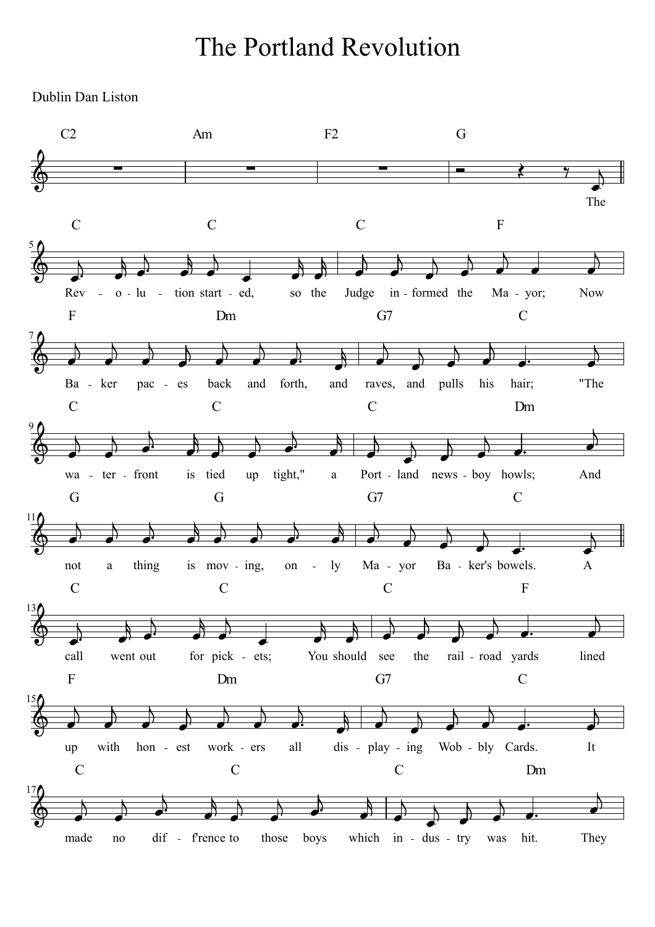### The Portland Revolution

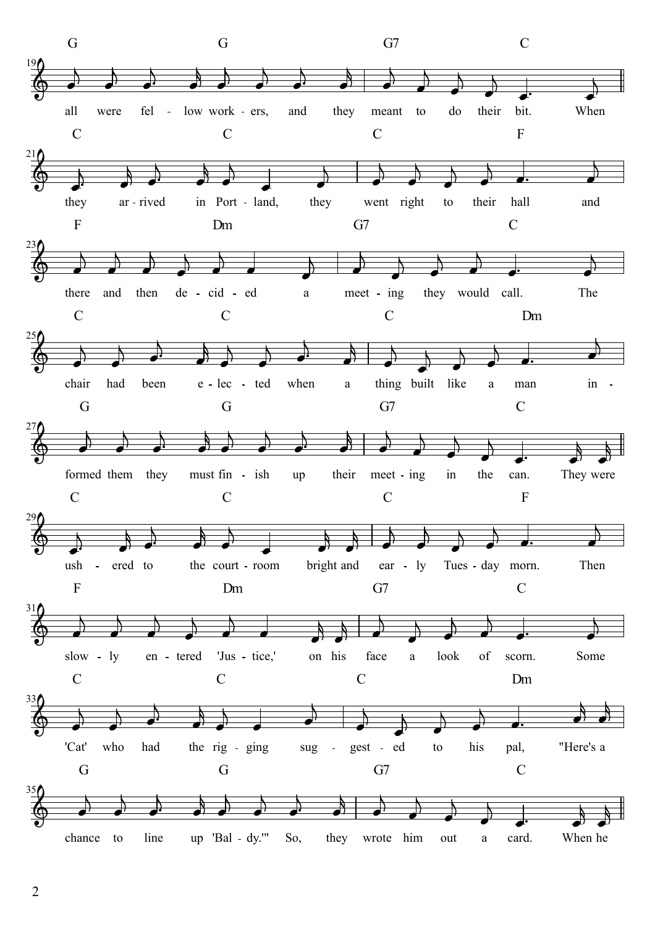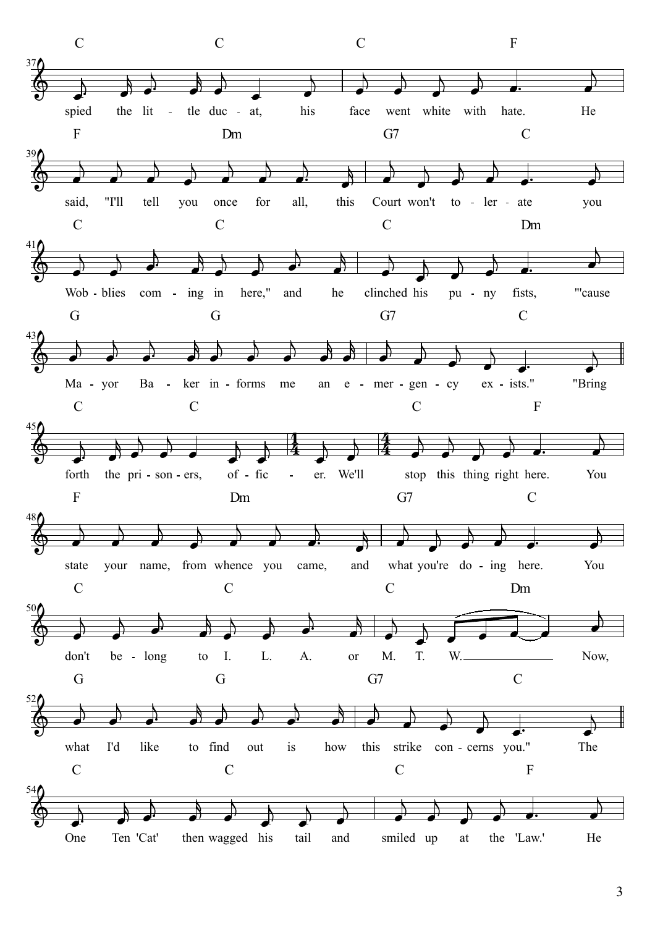

 $3 \overline{3}$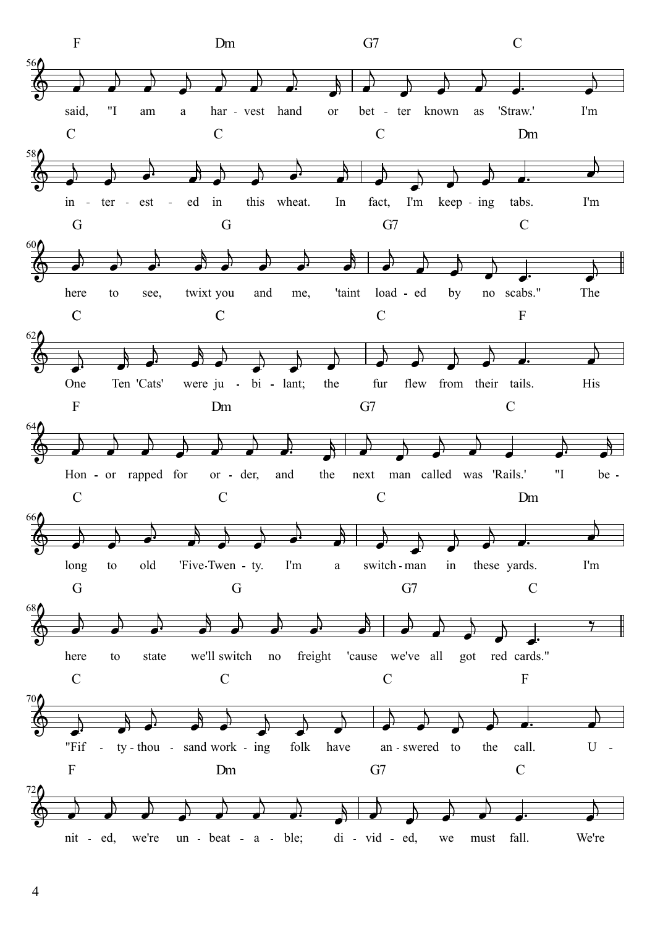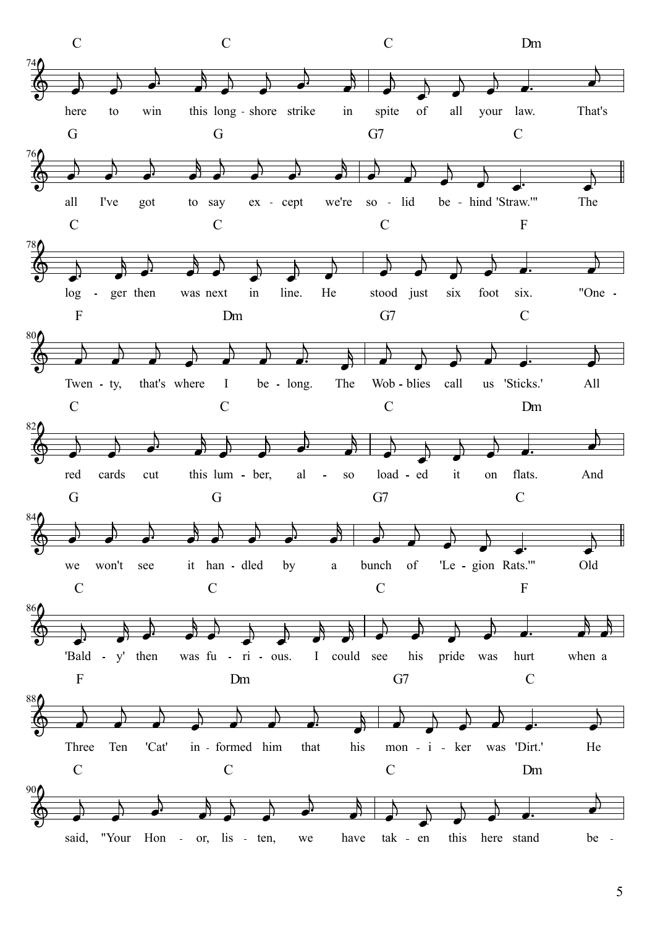

5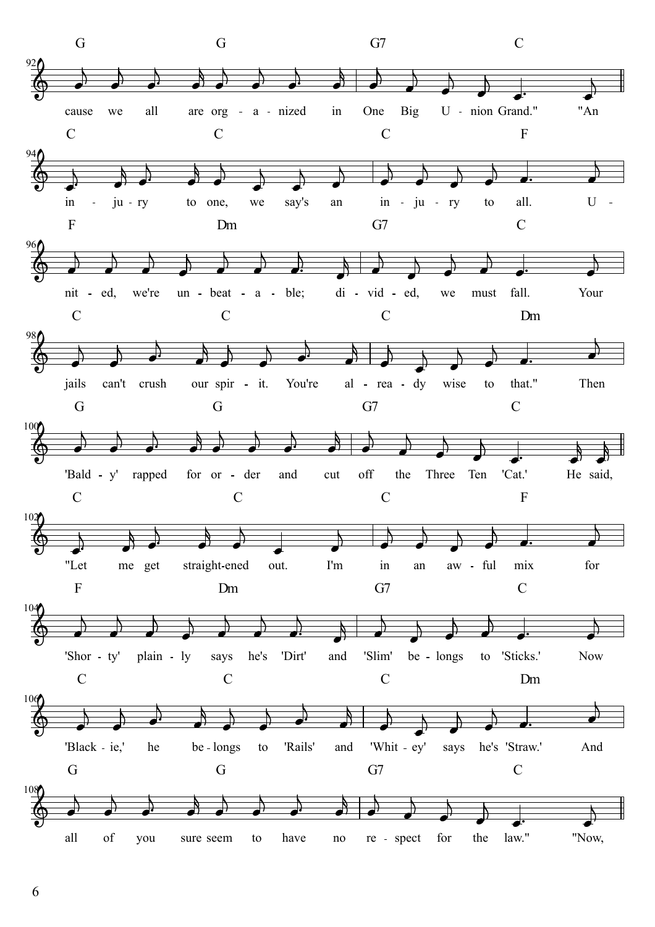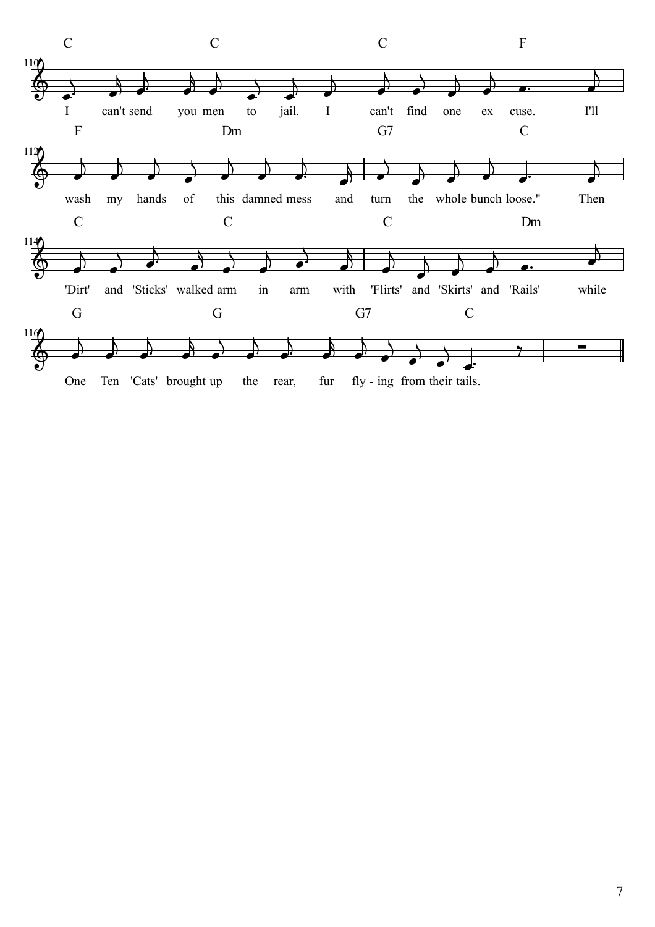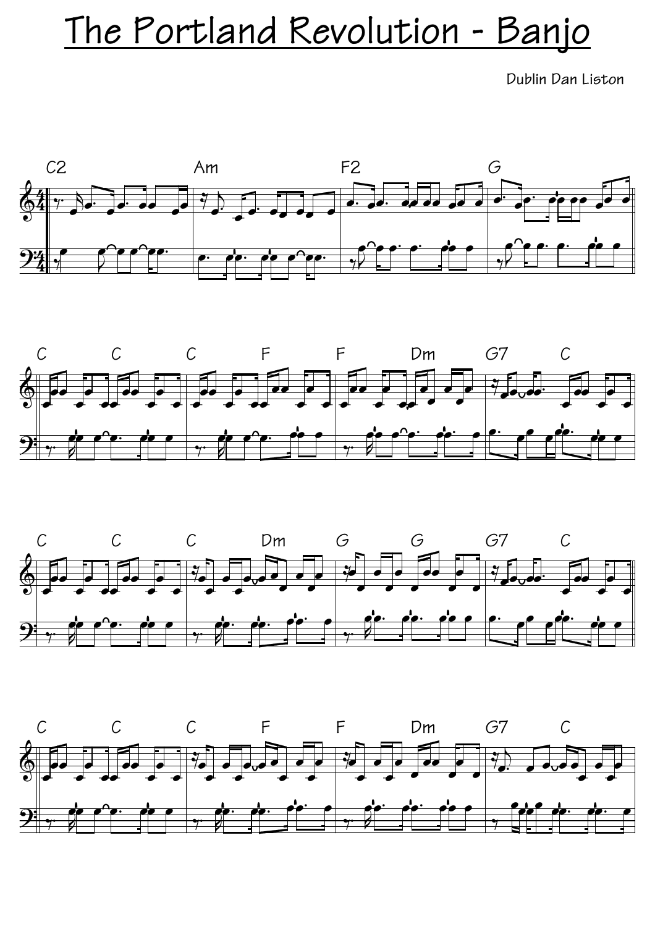## The Portland Revolution - Banjo







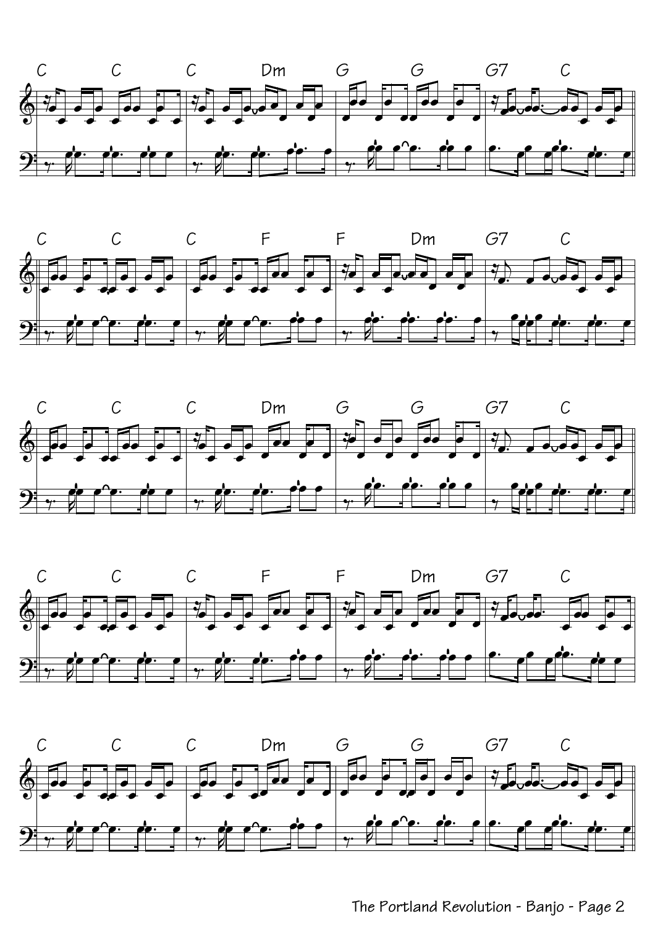









The Portland Revolution - Banjo - Page 2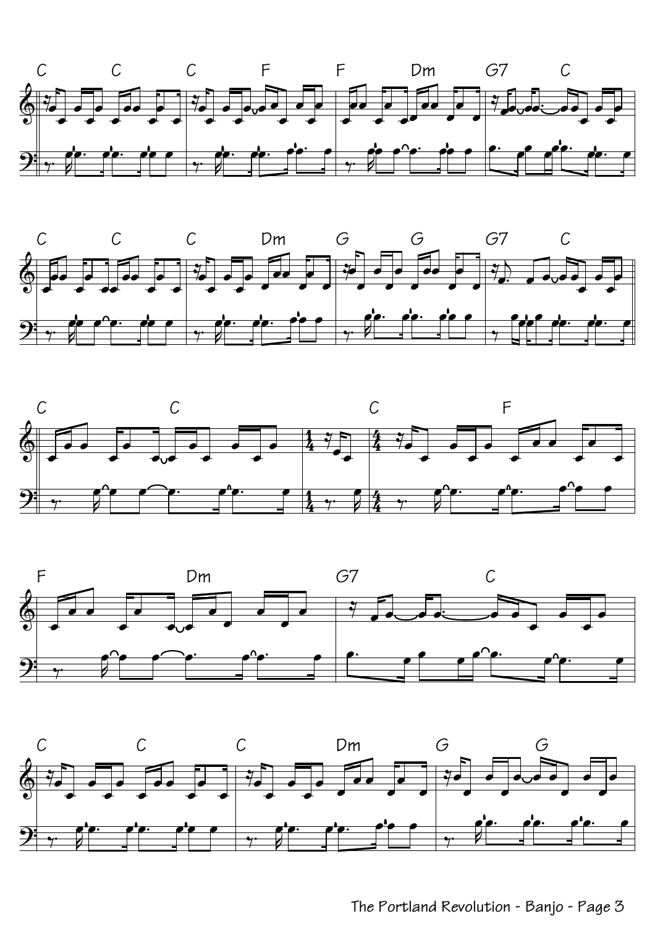









The Portland Revolution - Banjo - Page 3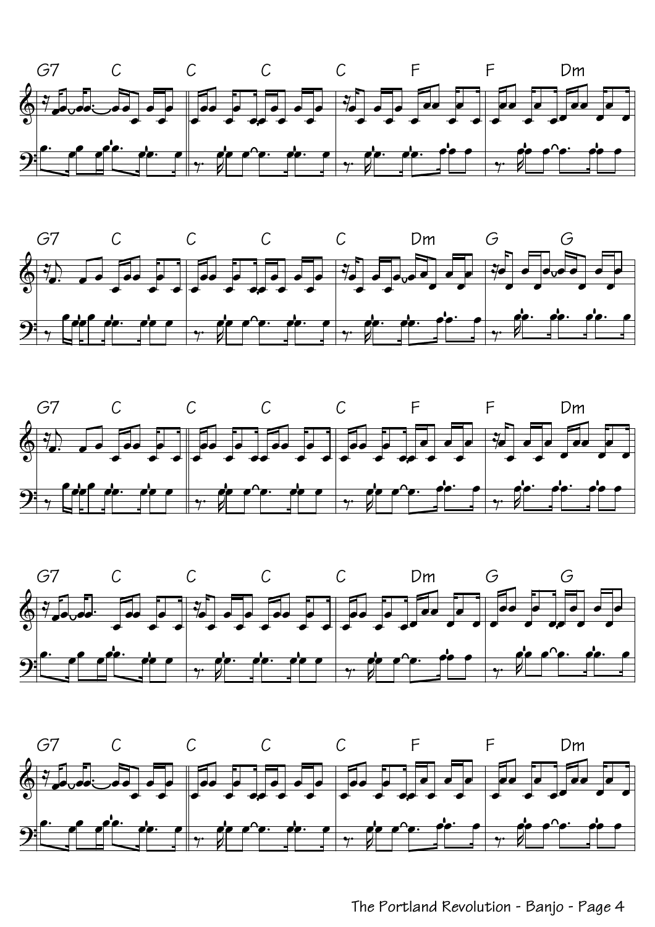









The Portland Revolution - Banjo - Page 4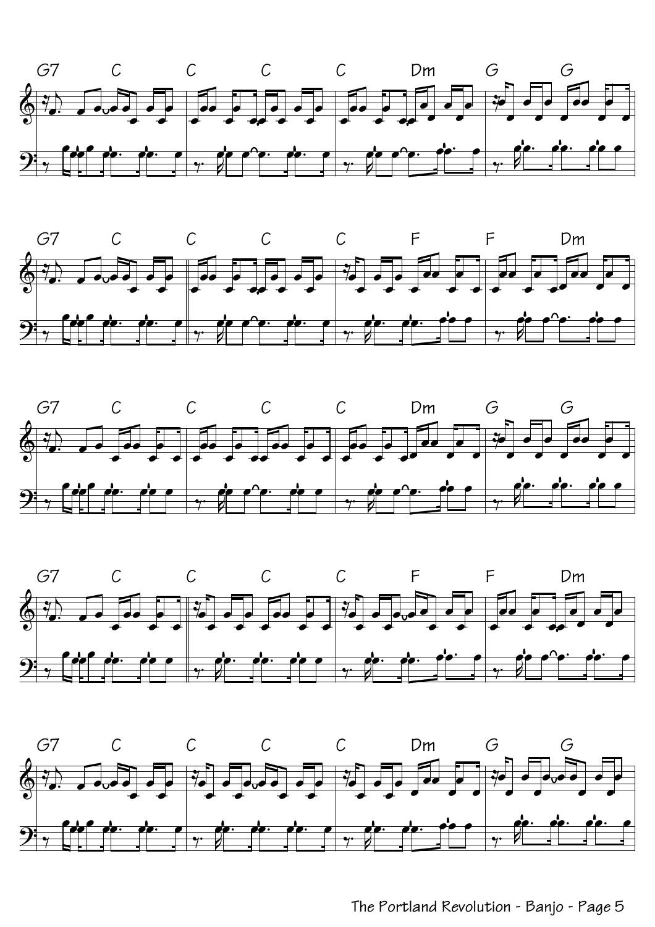









The Portland Revolution - Banjo - Page 5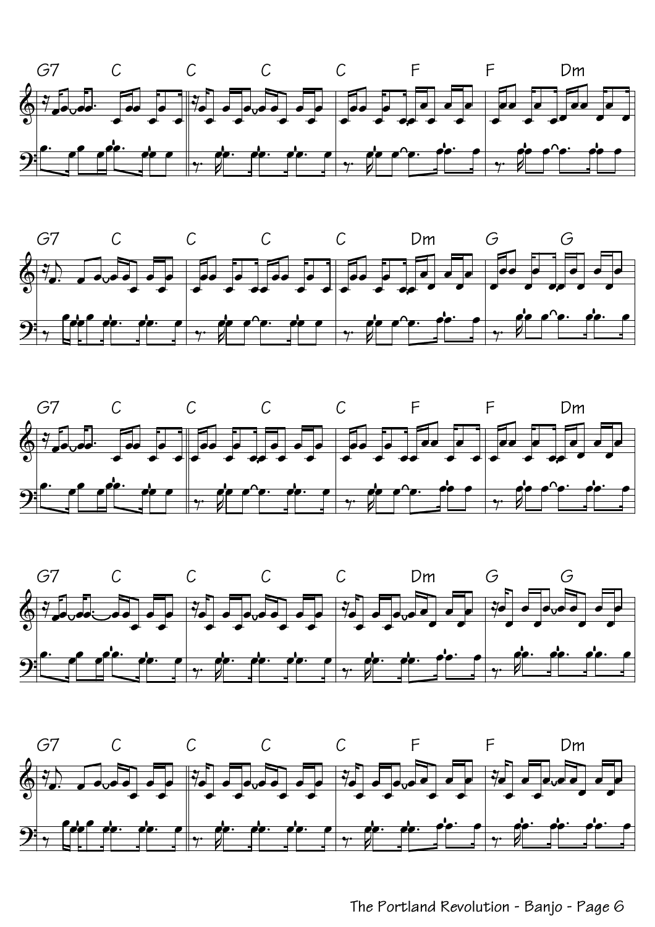









The Portland Revolution - Banjo - Page 6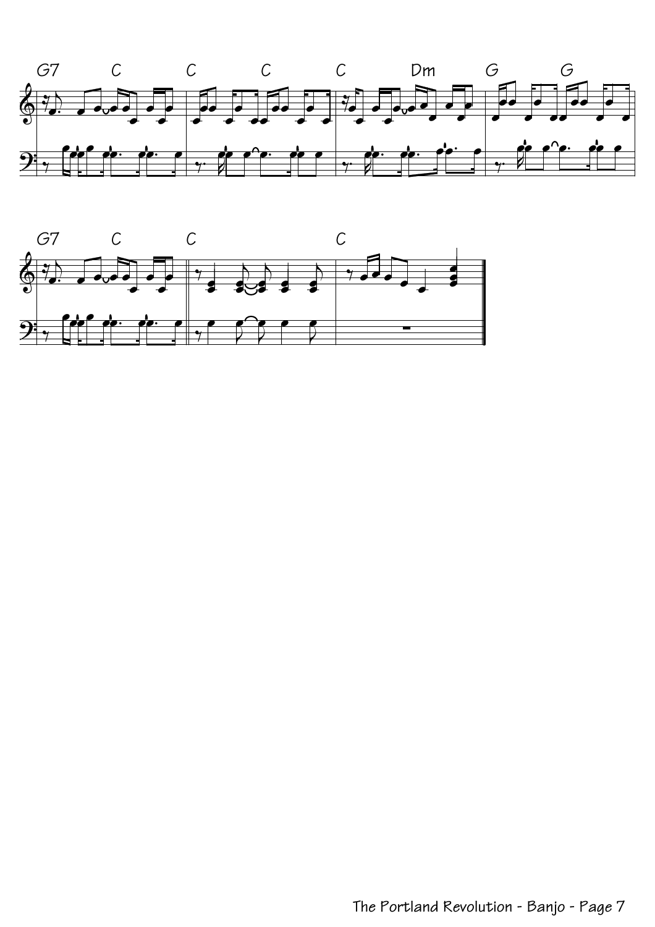

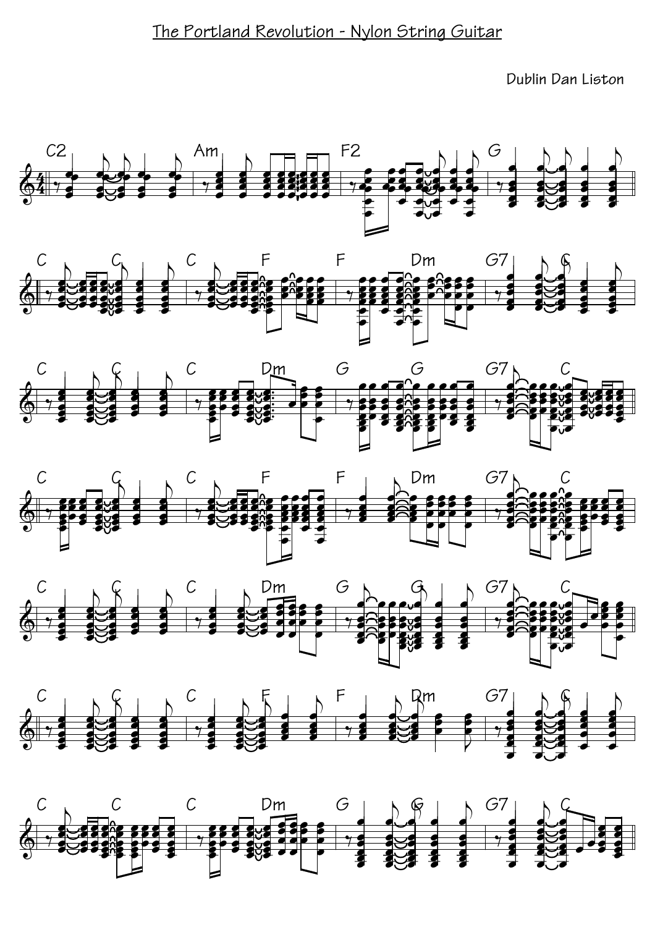#### The Portland Revolution - Nylon String Guitar













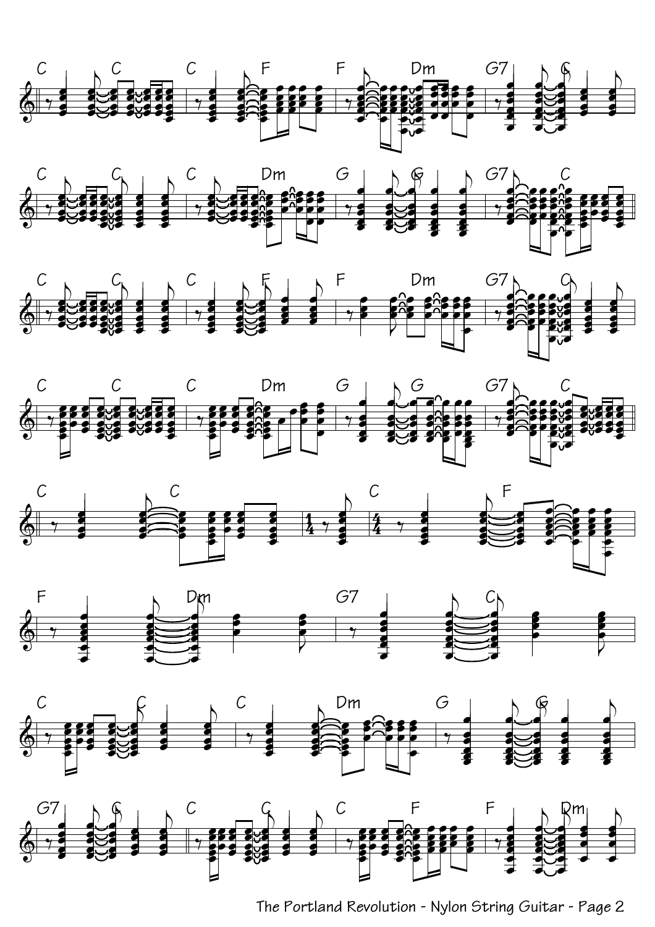















The Portland Revolution - Nylon String Guitar - Page 2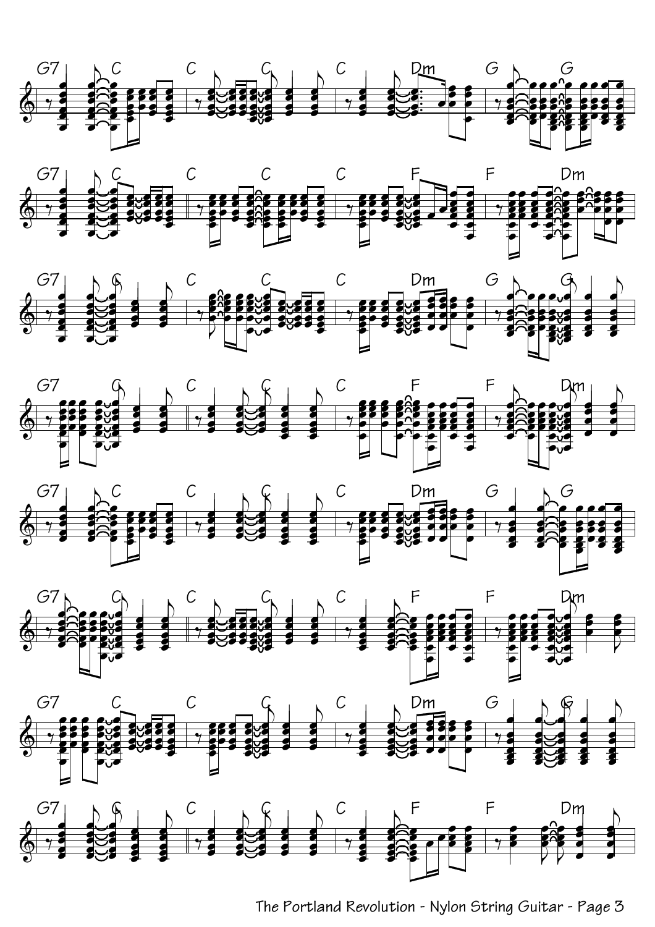















The Portland Revolution - Nylon String Guitar - Page 3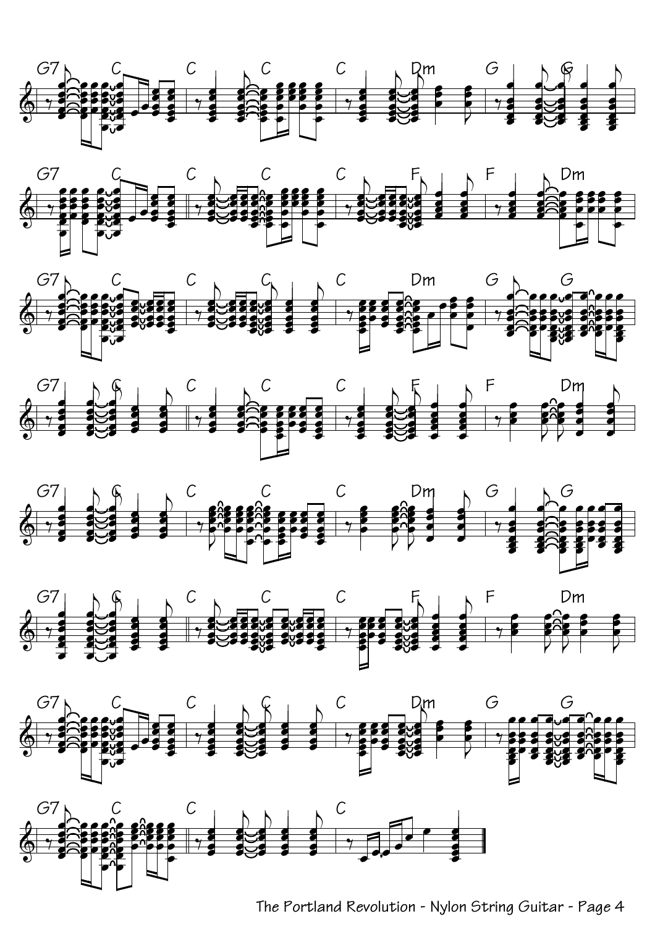















The Portland Revolution - Nylon String Guitar - Page 4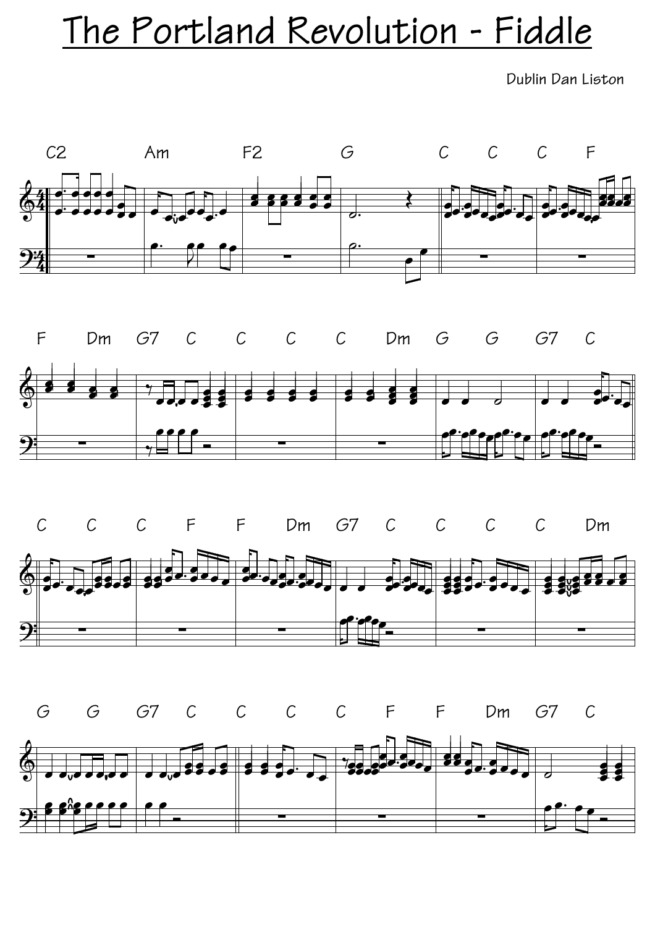# The Portland Revolution - Fiddle







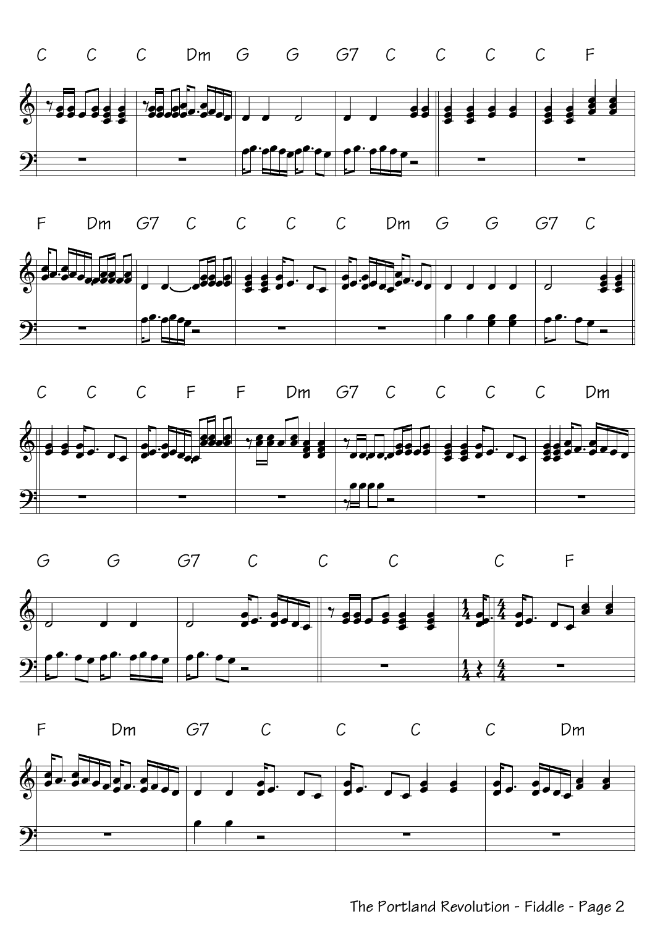









The Portland Revolution - Fiddle - Page 2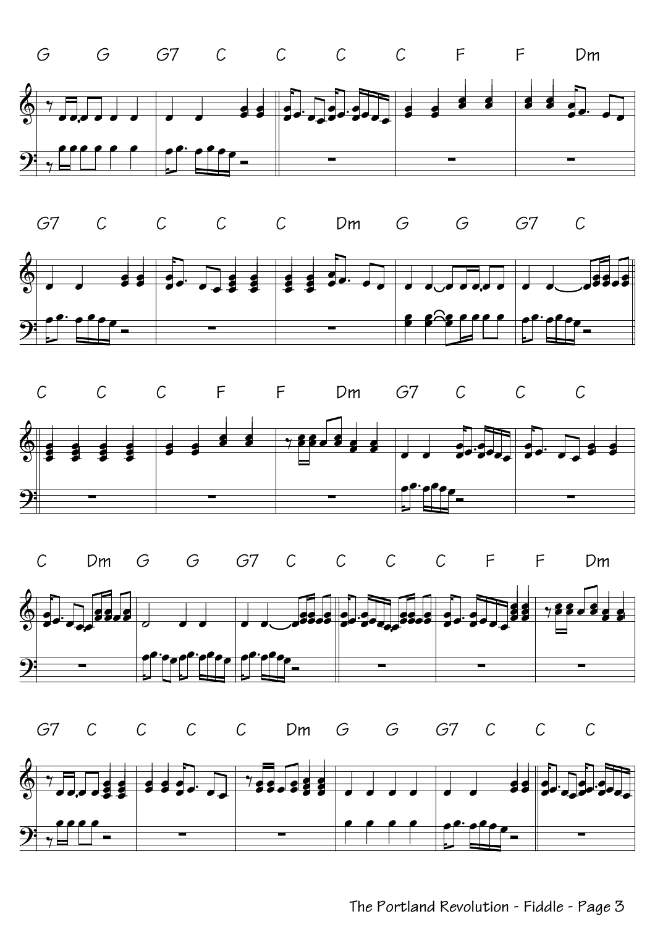









The Portland Revolution - Fiddle - Page 3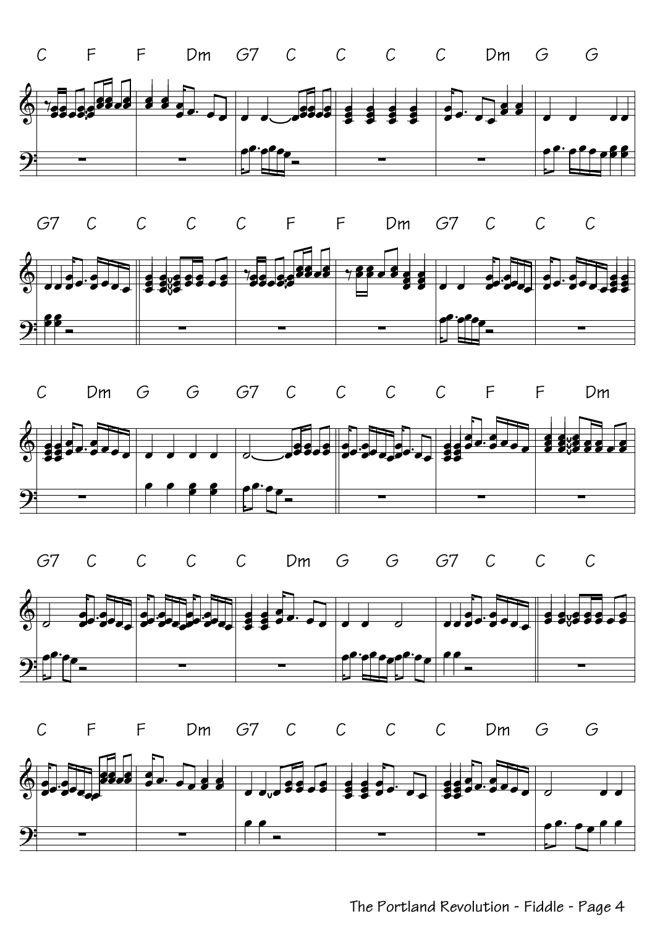









The Portland Revolution - Fiddle - Page 4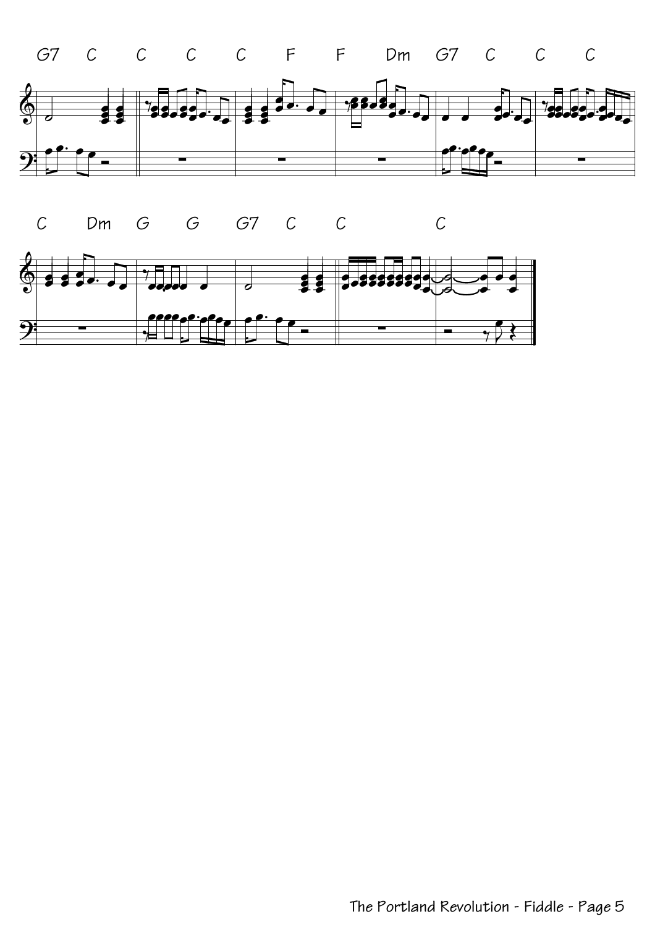

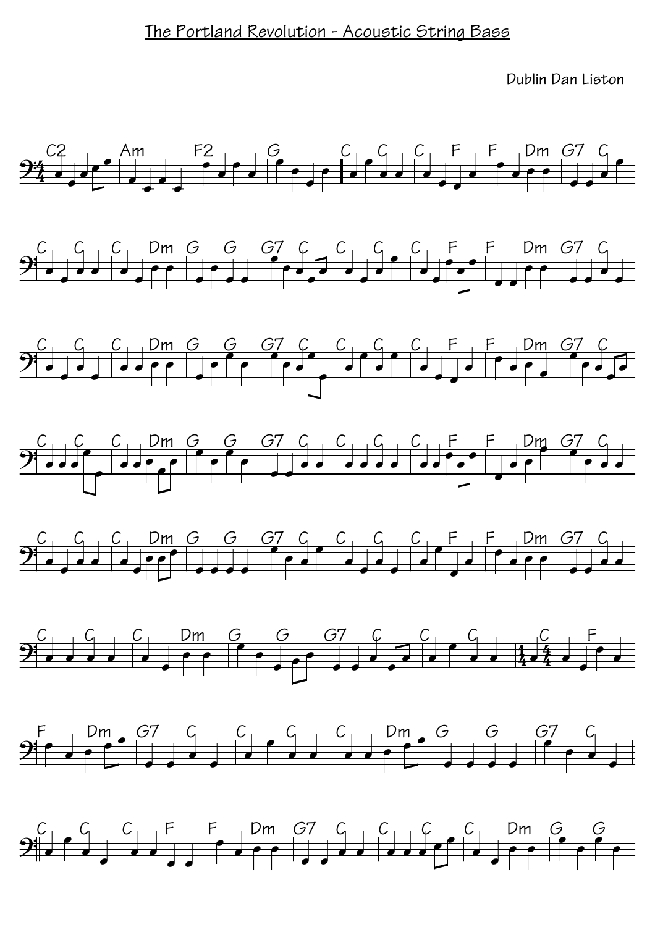#### The Portland Revolution - Acoustic String Bass